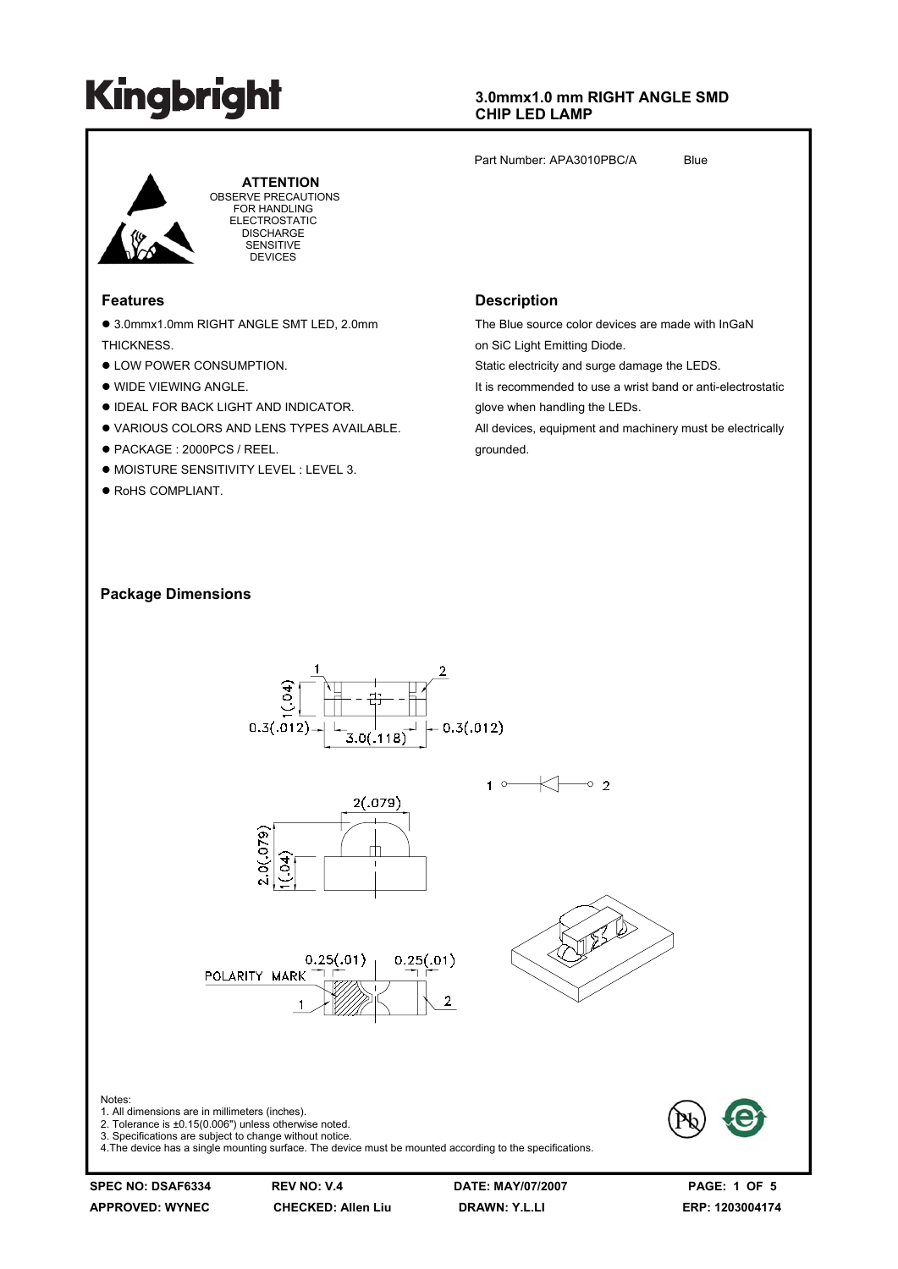#### **3.0mmx1.0 mm RIGHT ANGLE SMD CHIP LED LAMP**

Part Number: APA3010PBC/A Blue



 **ATTENTION** OBSERVE PRECAUTIONS FOR HANDLING ELECTROSTATIC **DISCHARGE** SENSITIVE DEVICES

#### **Features**

● 3.0mmx1.0mm RIGHT ANGLE SMT LED, 2.0mm **THICKNESS** 

- $\bullet$  LOW POWER CONSUMPTION.
- $\bullet$  WIDE VIEWING ANGLE.
- **. IDEAL FOR BACK LIGHT AND INDICATOR.**
- **.** VARIOUS COLORS AND LENS TYPES AVAILABLE.
- PACKAGE : 2000PCS / REEL.
- $\bullet$  MOISTURE SENSITIVITY LEVEL : LEVEL 3.
- $\bullet$  RoHS COMPLIANT.

#### **Description**

The Blue source color devices are made with InGaN on SiC Light Emitting Diode.

Static electricity and surge damage the LEDS.

It is recommended to use a wrist band or anti-electrostatic glove when handling the LEDs.

All devices, equipment and machinery must be electrically grounded.

#### **Package Dimensions**

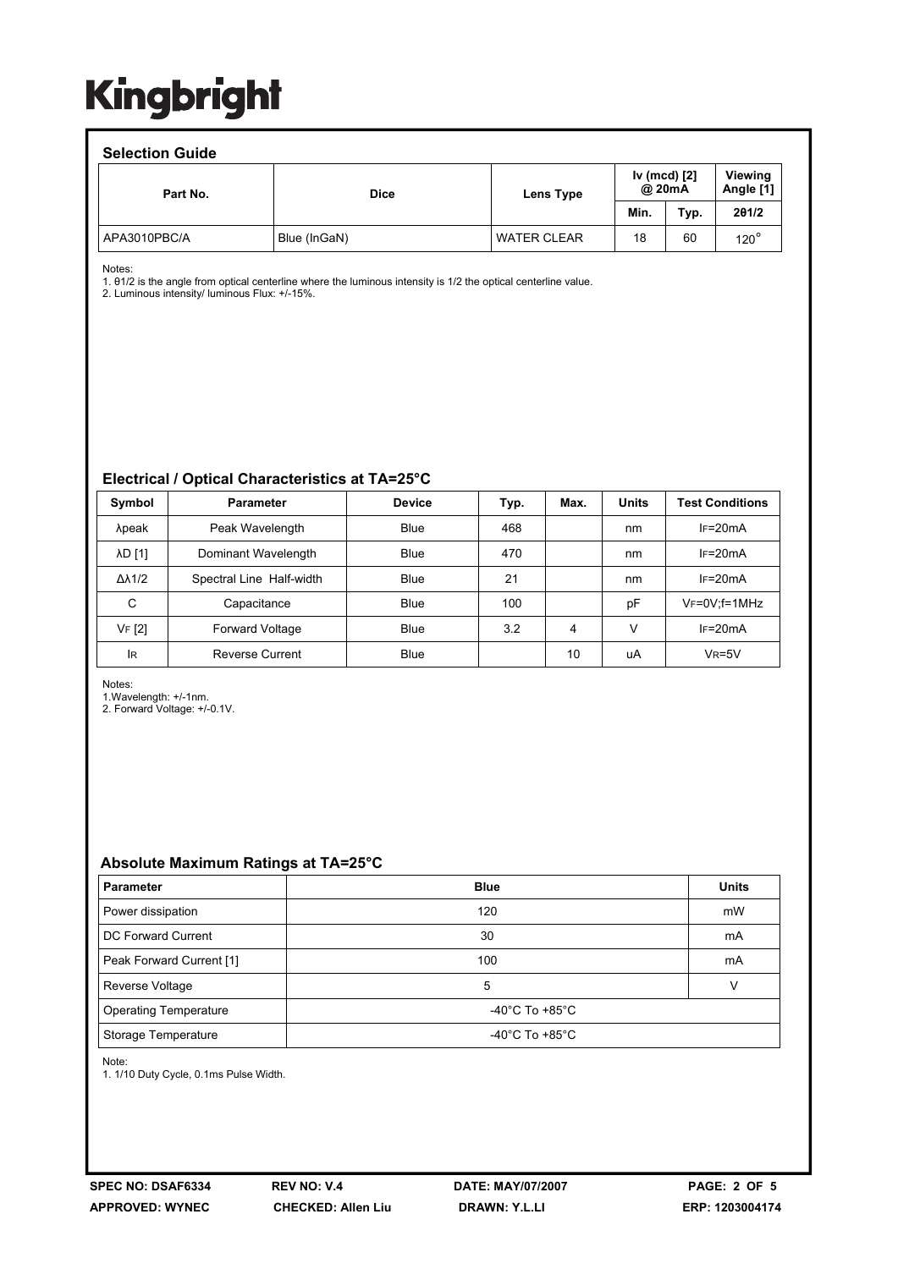#### **Selection Guide**

| ociocion calac |              |                                     |      |      |                      |  |  |  |  |
|----------------|--------------|-------------------------------------|------|------|----------------------|--|--|--|--|
| Part No.       | <b>Dice</b>  | Iv (mcd) [2]<br>@ 20mA<br>Lens Type |      |      | Viewing<br>Angle [1] |  |  |  |  |
|                |              |                                     | Min. | Typ. | 201/2                |  |  |  |  |
| APA3010PBC/A   | Blue (InGaN) | <b>WATER CLEAR</b>                  | 18   | 60   | $120^\circ$          |  |  |  |  |

Notes:

1. θ1/2 is the angle from optical centerline where the luminous intensity is 1/2 the optical centerline value.

2. Luminous intensity/ luminous Flux: +/-15%.

#### **Electrical / Optical Characteristics at TA=25°C**

| Symbol              | <b>Parameter</b>         | <b>Device</b> | Typ. | Max. | <b>Units</b> | <b>Test Conditions</b> |
|---------------------|--------------------------|---------------|------|------|--------------|------------------------|
| λpeak               | Peak Wavelength          | Blue          | 468  |      | nm           | $IF=20mA$              |
| <b>AD [1]</b>       | Dominant Wavelength      | Blue          | 470  |      | nm           | $IF=20mA$              |
| $\Delta\lambda$ 1/2 | Spectral Line Half-width | Blue          | 21   |      | nm           | $IF=20mA$              |
| C                   | Capacitance              | <b>Blue</b>   | 100  |      | pF           | $V_F = 0V$ ; f = 1MHz  |
| VF [2]              | <b>Forward Voltage</b>   | Blue          | 3.2  | 4    | V            | $IF=20mA$              |
| <b>IR</b>           | <b>Reverse Current</b>   | <b>Blue</b>   |      | 10   | uA           | $V_R = 5V$             |

Notes:

1.Wavelength: +/-1nm.

2. Forward Voltage: +/-0.1V.

#### **Absolute Maximum Ratings at TA=25°C**

| <b>Parameter</b>             | <b>Blue</b>                          | <b>Units</b> |  |
|------------------------------|--------------------------------------|--------------|--|
| Power dissipation            | 120                                  | mW           |  |
| DC Forward Current           | 30                                   | mA           |  |
| Peak Forward Current [1]     | 100                                  | mA           |  |
| Reverse Voltage              | 5                                    |              |  |
| <b>Operating Temperature</b> | -40 $^{\circ}$ C To +85 $^{\circ}$ C |              |  |
| Storage Temperature          | -40 $^{\circ}$ C To +85 $^{\circ}$ C |              |  |

Note:

1. 1/10 Duty Cycle, 0.1ms Pulse Width.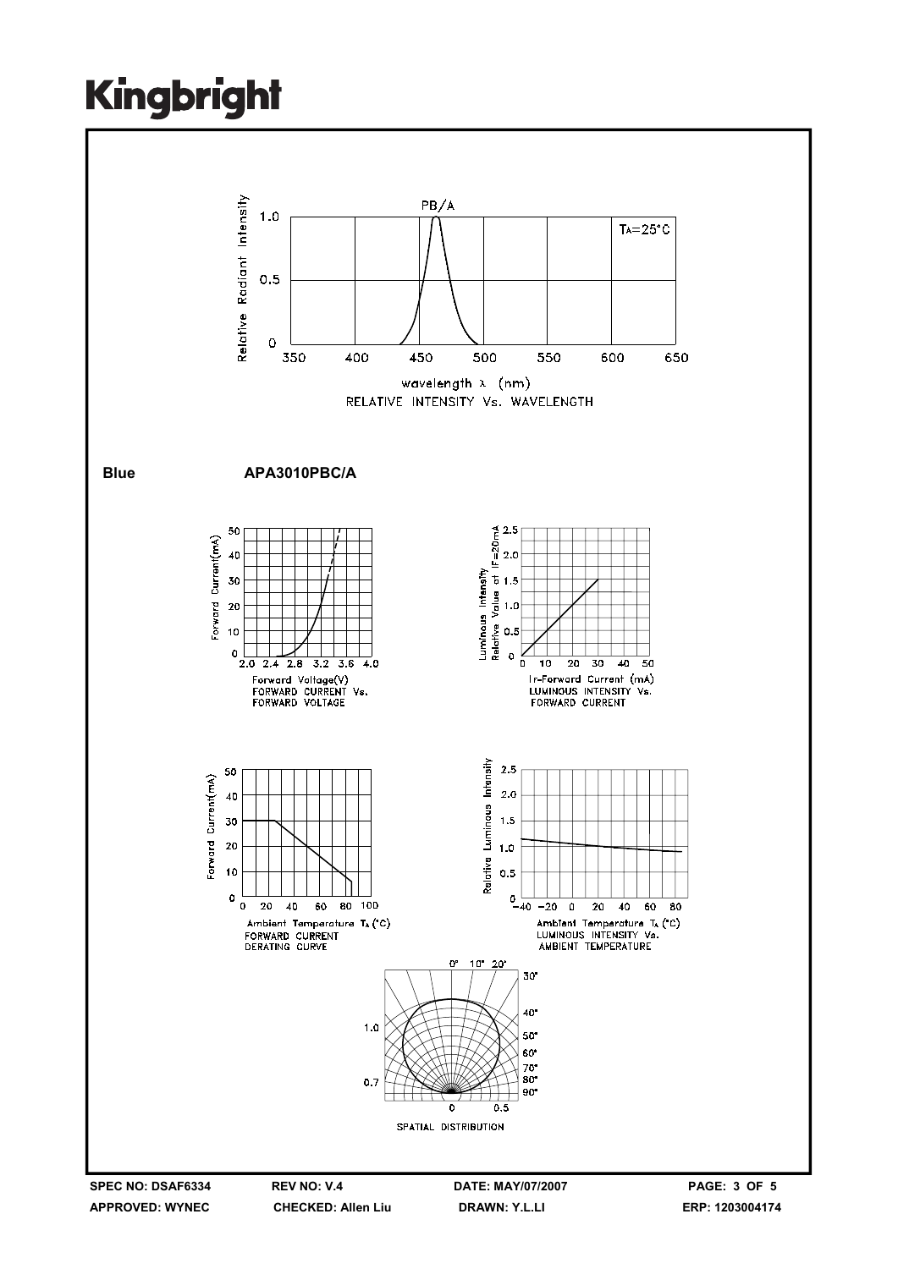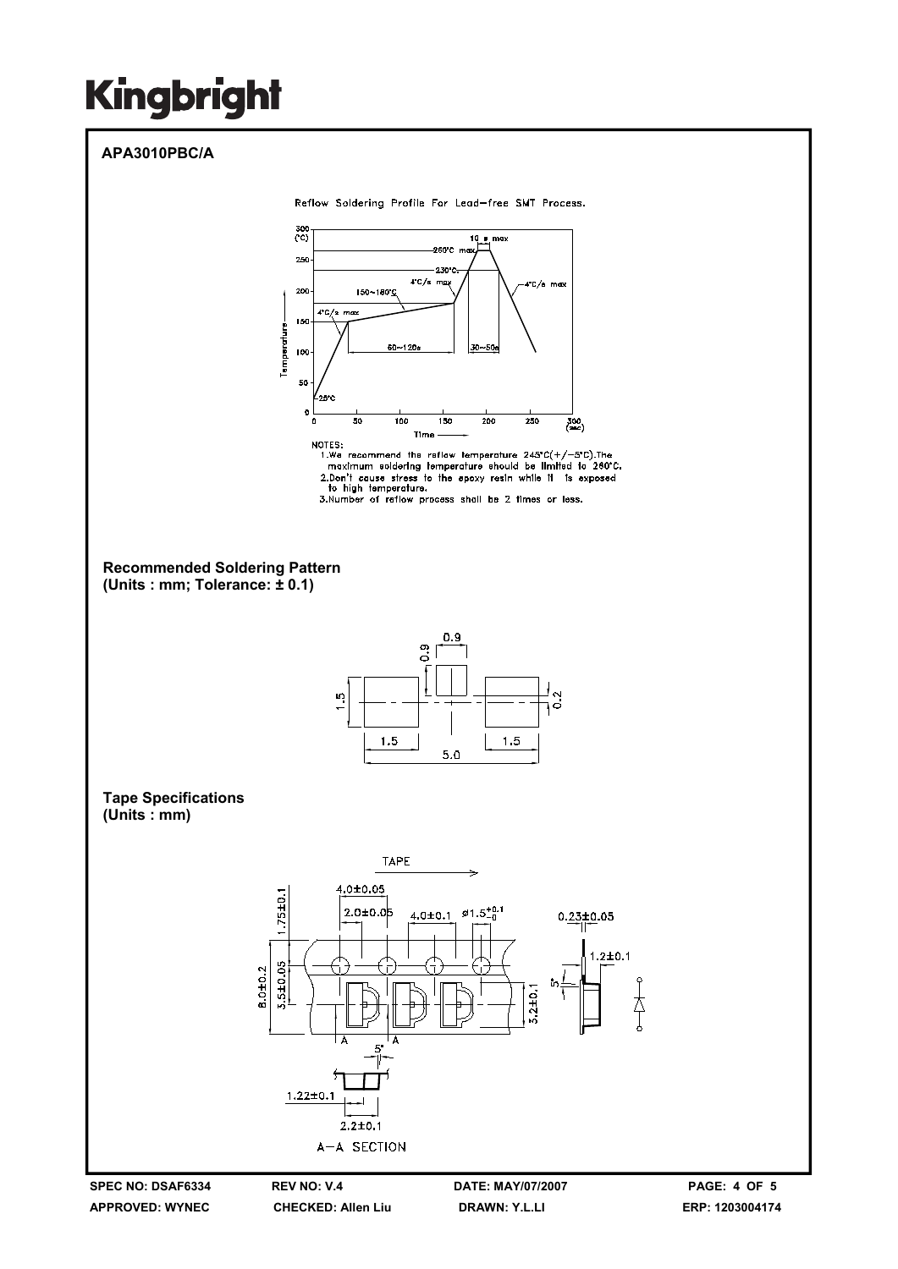